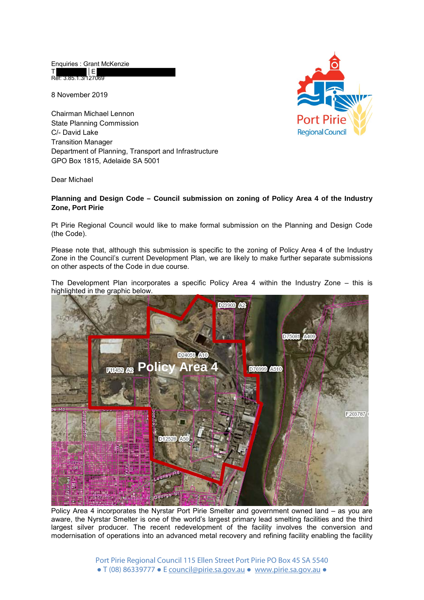Enquiries : Grant McKenzie<br>T<br>| E T | E

8 November 2019

Ref: 3.85.1.3/127069

Chairman Michael Lennon State Planning Commission C/- David Lake Transition Manager Department of Planning, Transport and Infrastructure GPO Box 1815, Adelaide SA 5001



Dear Michael

## **Planning and Design Code – Council submission on zoning of Policy Area 4 of the Industry Zone, Port Pirie**

Pt Pirie Regional Council would like to make formal submission on the Planning and Design Code (the Code).

Please note that, although this submission is specific to the zoning of Policy Area 4 of the Industry Zone in the Council's current Development Plan, we are likely to make further separate submissions on other aspects of the Code in due course.

The Development Plan incorporates a specific Policy Area 4 within the Industry Zone – this is highlighted in the graphic below.



Policy Area 4 incorporates the Nyrstar Port Pirie Smelter and government owned land – as you are aware, the Nyrstar Smelter is one of the world's largest primary lead smelting facilities and the third largest silver producer. The recent redevelopment of the facility involves the conversion and modernisation of operations into an advanced metal recovery and refining facility enabling the facility